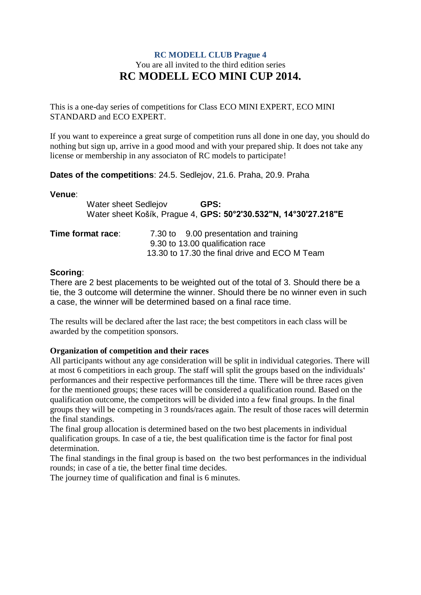# **RC MODELL CLUB Prague 4** You are all invited to the third edition series **RC MODELL ECO MINI CUP 2014.**

This is a one-day series of competitions for Class ECO MINI EXPERT, ECO MINI STANDARD and ECO EXPERT.

If you want to expereince a great surge of competition runs all done in one day, you should do nothing but sign up, arrive in a good mood and with your prepared ship. It does not take any license or membership in any associaton of RC models to participate!

# **Dates of the competitions**: 24.5. Sedlejov, 21.6. Praha, 20.9. Praha

#### **Venue**:

| <b>Water sheet Sedlejov</b> |  | GPS:                                                            |  |
|-----------------------------|--|-----------------------------------------------------------------|--|
|                             |  | Water sheet Košík, Prague 4, GPS: 50°2'30.532"N, 14°30'27.218"E |  |
| Time format race:           |  | 7.30 to 9.00 presentation and training                          |  |
|                             |  | 9.30 to 13.00 qualification race                                |  |
|                             |  | 13.30 to 17.30 the final drive and ECO M Team                   |  |

### **Scoring**:

There are 2 best placements to be weighted out of the total of 3. Should there be a tie, the 3 outcome will determine the winner. Should there be no winner even in such a case, the winner will be determined based on a final race time.

The results will be declared after the last race; the best competitors in each class will be awarded by the competition sponsors.

### **Organization of competition and their races**

All participants without any age consideration will be split in individual categories. There will at most 6 competitiors in each group. The staff will split the groups based on the individuals' performances and their respective performances till the time. There will be three races given for the mentioned groups; these races will be considered a qualification round. Based on the qualification outcome, the competitors will be divided into a few final groups. In the final groups they will be competing in 3 rounds/races again. The result of those races will determin the final standings.

The final group allocation is determined based on the two best placements in individual qualification groups. In case of a tie, the best qualification time is the factor for final post determination.

The final standings in the final group is based on the two best performances in the individual rounds; in case of a tie, the better final time decides.

The journey time of qualification and final is 6 minutes.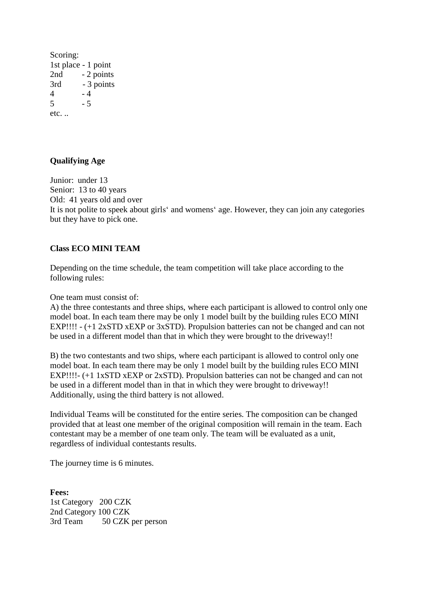Scoring: 1st place - 1 point 2nd - 2 points 3rd - 3 points  $4 - 4$  $5 - 5$ etc. ..

### **Qualifying Age**

Junior: under 13 Senior: 13 to 40 years Old: 41 years old and over It is not polite to speek about girls' and womens' age. However, they can join any categories but they have to pick one.

### **Class ECO MINI TEAM**

Depending on the time schedule, the team competition will take place according to the following rules:

One team must consist of:

A) the three contestants and three ships, where each participant is allowed to control only one model boat. In each team there may be only 1 model built by the building rules ECO MINI EXP!!!! - (+1 2xSTD xEXP or 3xSTD). Propulsion batteries can not be changed and can not be used in a different model than that in which they were brought to the driveway!!

B) the two contestants and two ships, where each participant is allowed to control only one model boat. In each team there may be only 1 model built by the building rules ECO MINI EXP!!!!- (+1 1xSTD xEXP or 2xSTD). Propulsion batteries can not be changed and can not be used in a different model than in that in which they were brought to driveway!! Additionally, using the third battery is not allowed.

Individual Teams will be constituted for the entire series. The composition can be changed provided that at least one member of the original composition will remain in the team. Each contestant may be a member of one team only. The team will be evaluated as a unit, regardless of individual contestants results.

The journey time is 6 minutes.

**Fees:**  1st Category 200 CZK 2nd Category 100 CZK 3rd Team 50 CZK per person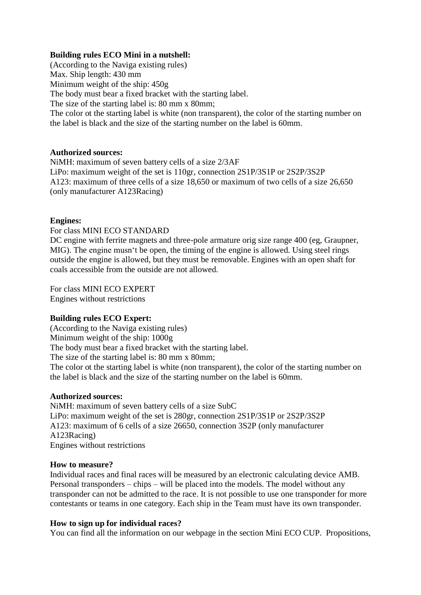### **Building rules ECO Mini in a nutshell:**

(According to the Naviga existing rules) Max. Ship length: 430 mm Minimum weight of the ship: 450g The body must bear a fixed bracket with the starting label. The size of the starting label is: 80 mm x 80mm; The color ot the starting label is white (non transparent), the color of the starting number on the label is black and the size of the starting number on the label is 60mm.

### **Authorized sources:**

NiMH: maximum of seven battery cells of a size 2/3AF LiPo: maximum weight of the set is 110gr, connection 2S1P/3S1P or 2S2P/3S2P A123: maximum of three cells of a size 18,650 or maximum of two cells of a size 26,650 (only manufacturer A123Racing)

### **Engines:**

### For class MINI ECO STANDARD

DC engine with ferrite magnets and three-pole armature orig size range 400 (eg, Graupner, MIG). The engine musn't be open, the timing of the engine is allowed. Using steel rings outside the engine is allowed, but they must be removable. Engines with an open shaft for coals accessible from the outside are not allowed.

For class MINI ECO EXPERT Engines without restrictions

# **Building rules ECO Expert:**

(According to the Naviga existing rules) Minimum weight of the ship: 1000g The body must bear a fixed bracket with the starting label. The size of the starting label is: 80 mm x 80 mm; The color ot the starting label is white (non transparent), the color of the starting number on the label is black and the size of the starting number on the label is 60mm.

### **Authorized sources:**

NiMH: maximum of seven battery cells of a size SubC LiPo: maximum weight of the set is 280gr, connection 2S1P/3S1P or 2S2P/3S2P A123: maximum of 6 cells of a size 26650, connection 3S2P (only manufacturer A123Racing) Engines without restrictions

### **How to measure?**

Individual races and final races will be measured by an electronic calculating device AMB. Personal transponders – chips – will be placed into the models. The model without any transponder can not be admitted to the race. It is not possible to use one transponder for more contestants or teams in one category. Each ship in the Team must have its own transponder.

# **How to sign up for individual races?**

You can find all the information on our webpage in the section Mini ECO CUP. Propositions,